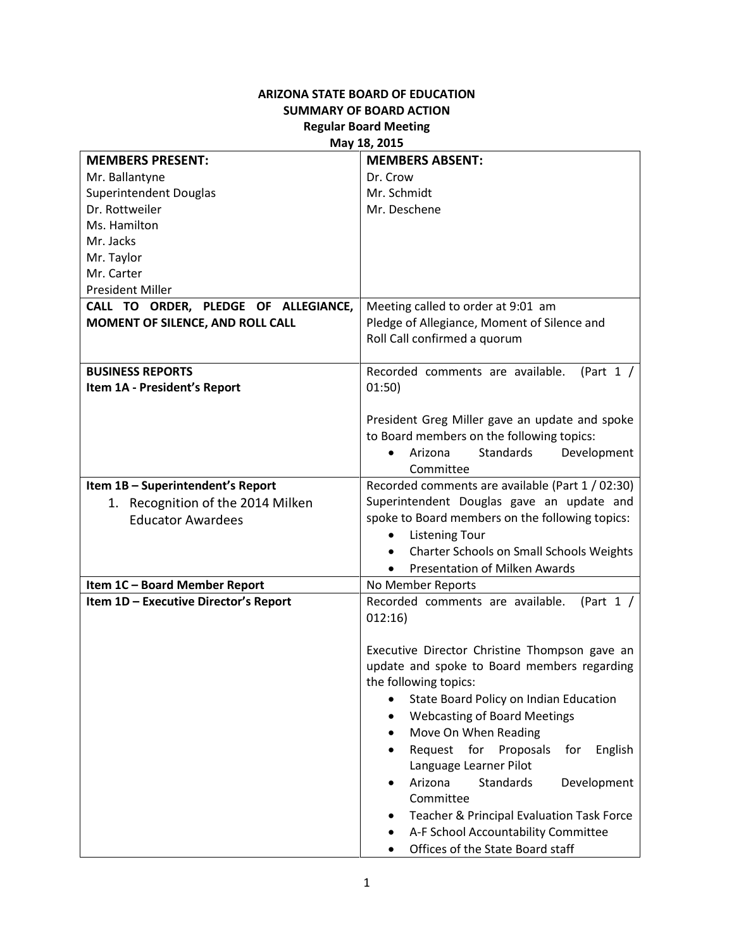## **ARIZONA STATE BOARD OF EDUCATION SUMMARY OF BOARD ACTION Regular Board Meeting**

## **May 18, 2015**

| <b>MEMBERS PRESENT:</b>               | <b>MEMBERS ABSENT:</b>                                                                       |
|---------------------------------------|----------------------------------------------------------------------------------------------|
| Mr. Ballantyne                        | Dr. Crow                                                                                     |
| <b>Superintendent Douglas</b>         | Mr. Schmidt                                                                                  |
| Dr. Rottweiler                        | Mr. Deschene                                                                                 |
| Ms. Hamilton                          |                                                                                              |
| Mr. Jacks                             |                                                                                              |
| Mr. Taylor                            |                                                                                              |
| Mr. Carter                            |                                                                                              |
| <b>President Miller</b>               |                                                                                              |
| CALL TO ORDER, PLEDGE OF ALLEGIANCE,  | Meeting called to order at 9:01 am                                                           |
| MOMENT OF SILENCE, AND ROLL CALL      | Pledge of Allegiance, Moment of Silence and                                                  |
|                                       | Roll Call confirmed a quorum                                                                 |
|                                       |                                                                                              |
| <b>BUSINESS REPORTS</b>               | Recorded comments are available.<br>(Part $1 /$                                              |
| Item 1A - President's Report          | 01:50)                                                                                       |
|                                       |                                                                                              |
|                                       | President Greg Miller gave an update and spoke                                               |
|                                       | to Board members on the following topics:                                                    |
|                                       | <b>Standards</b><br>Development<br>Arizona<br>$\bullet$                                      |
|                                       | Committee                                                                                    |
| Item 1B - Superintendent's Report     | Recorded comments are available (Part 1 / 02:30)                                             |
| 1. Recognition of the 2014 Milken     | Superintendent Douglas gave an update and                                                    |
| <b>Educator Awardees</b>              | spoke to Board members on the following topics:                                              |
|                                       | <b>Listening Tour</b>                                                                        |
|                                       | Charter Schools on Small Schools Weights<br>$\bullet$                                        |
|                                       | Presentation of Milken Awards<br>$\bullet$                                                   |
| Item 1C - Board Member Report         | No Member Reports                                                                            |
| Item 1D - Executive Director's Report | Recorded comments are available.<br>(Part $1 /$                                              |
|                                       | 012:16)                                                                                      |
|                                       |                                                                                              |
|                                       | Executive Director Christine Thompson gave an<br>update and spoke to Board members regarding |
|                                       | the following topics:                                                                        |
|                                       |                                                                                              |
|                                       | State Board Policy on Indian Education                                                       |
|                                       | <b>Webcasting of Board Meetings</b>                                                          |
|                                       | Move On When Reading                                                                         |
|                                       | Request for<br>Proposals<br>for<br>English                                                   |
|                                       | Language Learner Pilot<br>Arizona<br><b>Standards</b>                                        |
|                                       | Development<br>$\bullet$<br>Committee                                                        |
|                                       |                                                                                              |
|                                       | Teacher & Principal Evaluation Task Force                                                    |
|                                       | A-F School Accountability Committee                                                          |
|                                       | Offices of the State Board staff                                                             |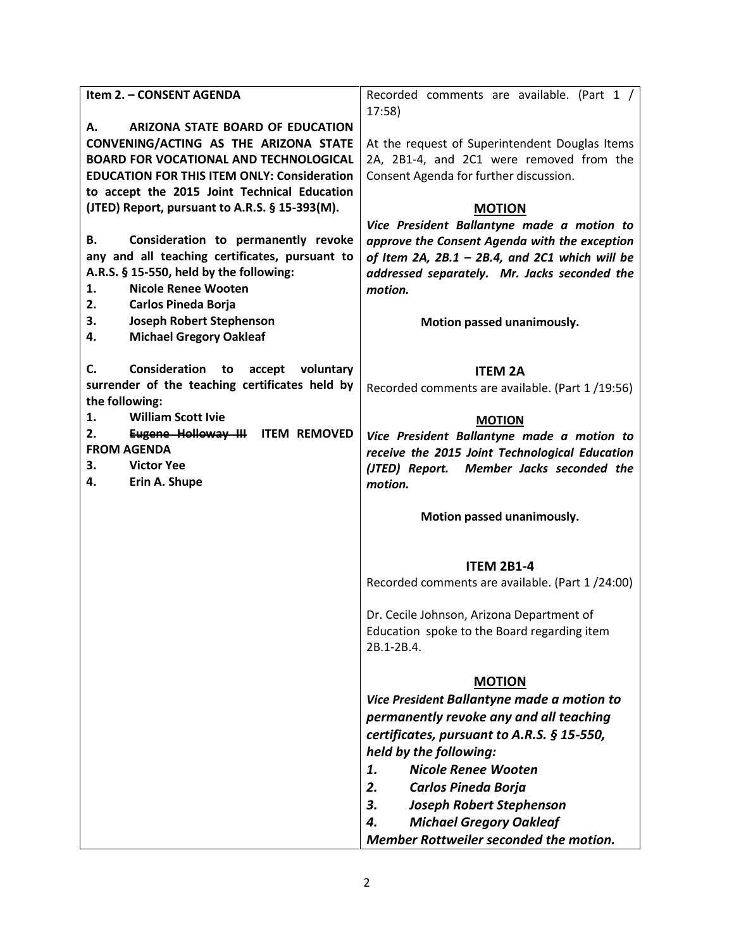| Item 2. - CONSENT AGENDA                                                                       | Recorded comments are available. (Part 1 /                           |
|------------------------------------------------------------------------------------------------|----------------------------------------------------------------------|
| ARIZONA STATE BOARD OF EDUCATION<br>А.                                                         | 17:58                                                                |
| CONVENING/ACTING AS THE ARIZONA STATE                                                          | At the request of Superintendent Douglas Items                       |
| <b>BOARD FOR VOCATIONAL AND TECHNOLOGICAL</b>                                                  | 2A, 2B1-4, and 2C1 were removed from the                             |
| <b>EDUCATION FOR THIS ITEM ONLY: Consideration</b>                                             | Consent Agenda for further discussion.                               |
| to accept the 2015 Joint Technical Education<br>(JTED) Report, pursuant to A.R.S. § 15-393(M). |                                                                      |
|                                                                                                | <b>MOTION</b><br>Vice President Ballantyne made a motion to          |
| Consideration to permanently revoke<br>В.                                                      | approve the Consent Agenda with the exception                        |
| any and all teaching certificates, pursuant to                                                 | of Item 2A, $2B.1 - 2B.4$ , and 2C1 which will be                    |
| A.R.S. § 15-550, held by the following:                                                        | addressed separately. Mr. Jacks seconded the                         |
| <b>Nicole Renee Wooten</b><br>1.                                                               | motion.                                                              |
| 2.<br><b>Carlos Pineda Borja</b>                                                               |                                                                      |
| 3.<br><b>Joseph Robert Stephenson</b>                                                          | Motion passed unanimously.                                           |
| <b>Michael Gregory Oakleaf</b><br>4.                                                           |                                                                      |
| C.<br>Consideration<br>accept voluntary<br>to                                                  |                                                                      |
| surrender of the teaching certificates held by                                                 | <b>ITEM 2A</b>                                                       |
| the following:                                                                                 | Recorded comments are available. (Part 1/19:56)                      |
| <b>William Scott Ivie</b><br>1.                                                                | <b>MOTION</b>                                                        |
| 2.<br>Eugene Holloway III<br><b>ITEM REMOVED</b>                                               | Vice President Ballantyne made a motion to                           |
| <b>FROM AGENDA</b>                                                                             | receive the 2015 Joint Technological Education                       |
| <b>Victor Yee</b><br>3.                                                                        | (JTED) Report. Member Jacks seconded the                             |
| Erin A. Shupe<br>4.                                                                            | motion.                                                              |
|                                                                                                | Motion passed unanimously.                                           |
|                                                                                                |                                                                      |
|                                                                                                |                                                                      |
|                                                                                                | <b>ITEM 2B1-4</b><br>Recorded comments are available. (Part 1/24:00) |
|                                                                                                |                                                                      |
|                                                                                                | Dr. Cecile Johnson, Arizona Department of                            |
|                                                                                                | Education spoke to the Board regarding item                          |
|                                                                                                | 2B.1-2B.4.                                                           |
|                                                                                                |                                                                      |
|                                                                                                | <b>MOTION</b><br>Vice President Ballantyne made a motion to          |
|                                                                                                | permanently revoke any and all teaching                              |
|                                                                                                | certificates, pursuant to A.R.S. § 15-550,                           |
|                                                                                                | held by the following:                                               |
|                                                                                                | <b>Nicole Renee Wooten</b><br>1.                                     |
|                                                                                                | 2.<br>Carlos Pineda Borja                                            |
|                                                                                                | <b>Joseph Robert Stephenson</b><br>3.                                |
|                                                                                                | <b>Michael Gregory Oakleaf</b><br>4.                                 |
|                                                                                                | Member Rottweiler seconded the motion.                               |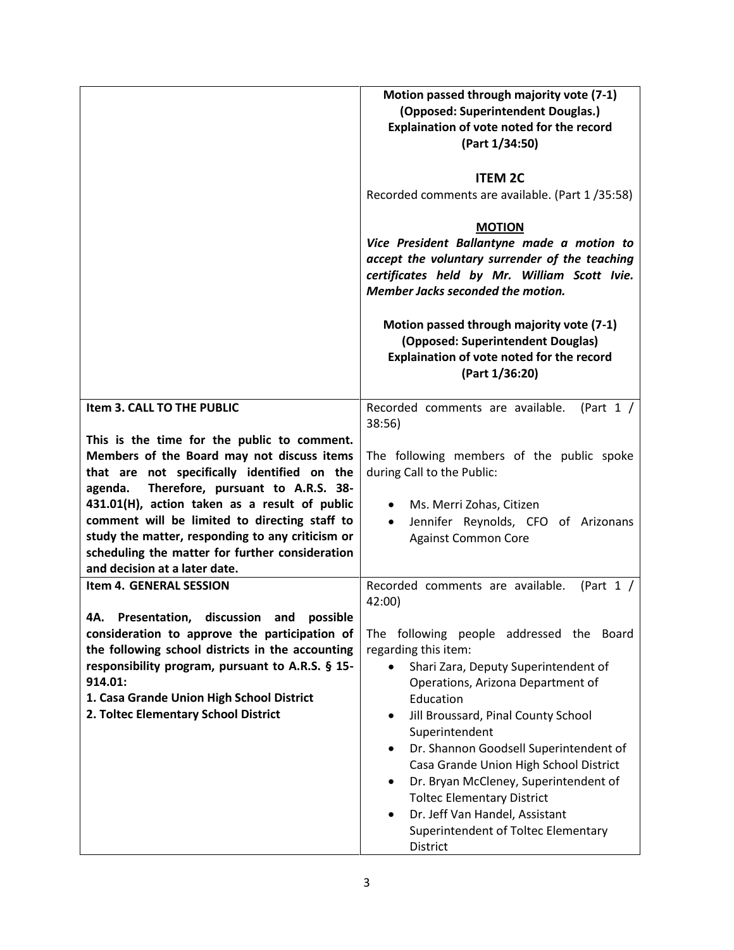|                                                                                                                                                                                                                                                                                                                                                                                                                                    | Motion passed through majority vote (7-1)<br>(Opposed: Superintendent Douglas.)<br>Explaination of vote noted for the record<br>(Part 1/34:50)<br><b>ITEM 2C</b><br>Recorded comments are available. (Part 1/35:58)<br><b>MOTION</b><br>Vice President Ballantyne made a motion to<br>accept the voluntary surrender of the teaching<br>certificates held by Mr. William Scott Ivie.<br>Member Jacks seconded the motion.<br>Motion passed through majority vote (7-1)<br>(Opposed: Superintendent Douglas)          |
|------------------------------------------------------------------------------------------------------------------------------------------------------------------------------------------------------------------------------------------------------------------------------------------------------------------------------------------------------------------------------------------------------------------------------------|----------------------------------------------------------------------------------------------------------------------------------------------------------------------------------------------------------------------------------------------------------------------------------------------------------------------------------------------------------------------------------------------------------------------------------------------------------------------------------------------------------------------|
|                                                                                                                                                                                                                                                                                                                                                                                                                                    | Explaination of vote noted for the record<br>(Part 1/36:20)                                                                                                                                                                                                                                                                                                                                                                                                                                                          |
| Item 3. CALL TO THE PUBLIC                                                                                                                                                                                                                                                                                                                                                                                                         | Recorded comments are available.<br>(Part $1 /$<br>38:56)                                                                                                                                                                                                                                                                                                                                                                                                                                                            |
| This is the time for the public to comment.<br>Members of the Board may not discuss items<br>that are not specifically identified on the<br>Therefore, pursuant to A.R.S. 38-<br>agenda.<br>431.01(H), action taken as a result of public<br>comment will be limited to directing staff to<br>study the matter, responding to any criticism or<br>scheduling the matter for further consideration<br>and decision at a later date. | The following members of the public spoke<br>during Call to the Public:<br>Ms. Merri Zohas, Citizen<br>Jennifer Reynolds, CFO of Arizonans<br><b>Against Common Core</b>                                                                                                                                                                                                                                                                                                                                             |
| Item 4. GENERAL SESSION                                                                                                                                                                                                                                                                                                                                                                                                            | Recorded comments are available.<br>(Part $1 /$<br>42:00)                                                                                                                                                                                                                                                                                                                                                                                                                                                            |
| Presentation,<br>discussion<br>possible<br>4A.<br>and<br>consideration to approve the participation of<br>the following school districts in the accounting<br>responsibility program, pursuant to A.R.S. § 15-<br>914.01:<br>1. Casa Grande Union High School District<br>2. Toltec Elementary School District                                                                                                                     | The following people addressed the<br>Board<br>regarding this item:<br>Shari Zara, Deputy Superintendent of<br>Operations, Arizona Department of<br>Education<br>Jill Broussard, Pinal County School<br>$\bullet$<br>Superintendent<br>Dr. Shannon Goodsell Superintendent of<br>$\bullet$<br>Casa Grande Union High School District<br>Dr. Bryan McCleney, Superintendent of<br>$\bullet$<br><b>Toltec Elementary District</b><br>Dr. Jeff Van Handel, Assistant<br>Superintendent of Toltec Elementary<br>District |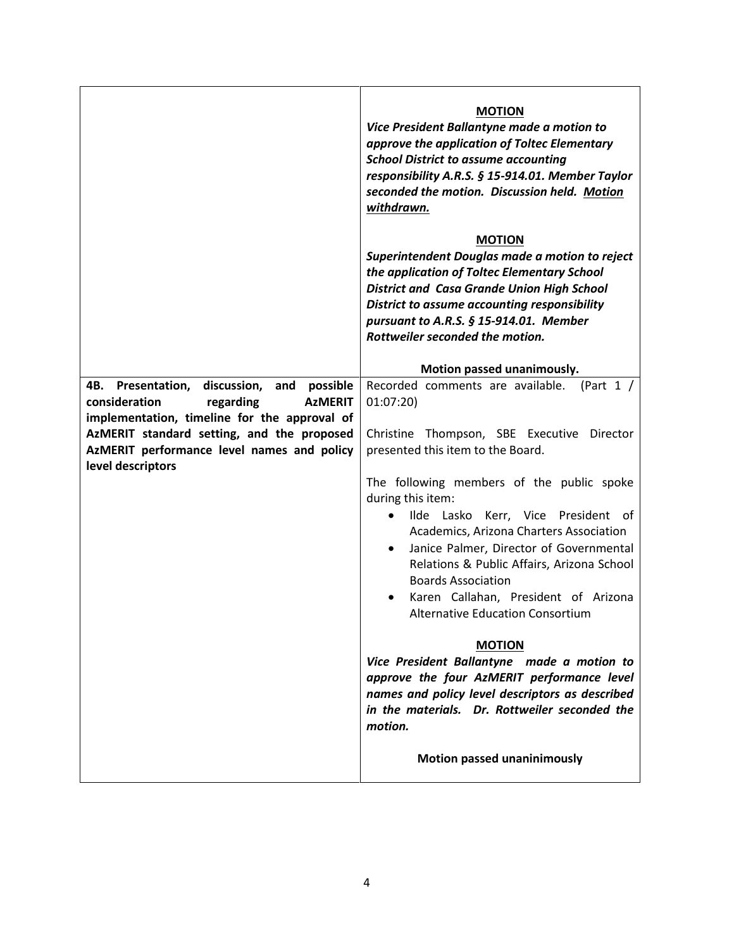|                                                                                            | <b>MOTION</b><br>Vice President Ballantyne made a motion to<br>approve the application of Toltec Elementary<br><b>School District to assume accounting</b><br>responsibility A.R.S. § 15-914.01. Member Taylor<br>seconded the motion. Discussion held. Motion<br>withdrawn.                                                                                                       |
|--------------------------------------------------------------------------------------------|------------------------------------------------------------------------------------------------------------------------------------------------------------------------------------------------------------------------------------------------------------------------------------------------------------------------------------------------------------------------------------|
|                                                                                            | <b>MOTION</b><br>Superintendent Douglas made a motion to reject<br>the application of Toltec Elementary School<br><b>District and Casa Grande Union High School</b><br>District to assume accounting responsibility<br>pursuant to A.R.S. § 15-914.01. Member<br>Rottweiler seconded the motion.                                                                                   |
| 4B. Presentation,<br>discussion,<br>and<br>possible                                        | Motion passed unanimously.<br>Recorded comments are available.<br>(Part $1 /$                                                                                                                                                                                                                                                                                                      |
| consideration<br>regarding<br><b>AzMERIT</b>                                               | 01:07:20                                                                                                                                                                                                                                                                                                                                                                           |
| implementation, timeline for the approval of<br>AzMERIT standard setting, and the proposed | Christine Thompson, SBE Executive Director                                                                                                                                                                                                                                                                                                                                         |
| AzMERIT performance level names and policy                                                 | presented this item to the Board.                                                                                                                                                                                                                                                                                                                                                  |
| level descriptors                                                                          | The following members of the public spoke<br>during this item:<br>Ilde Lasko Kerr, Vice President of<br>$\bullet$<br>Academics, Arizona Charters Association<br>Janice Palmer, Director of Governmental<br>$\bullet$<br>Relations & Public Affairs, Arizona School<br><b>Boards Association</b><br>Karen Callahan, President of Arizona<br><b>Alternative Education Consortium</b> |
|                                                                                            | <b>MOTION</b><br>Vice President Ballantyne made a motion to<br>approve the four AzMERIT performance level<br>names and policy level descriptors as described<br>in the materials. Dr. Rottweiler seconded the<br>motion.                                                                                                                                                           |
|                                                                                            | <b>Motion passed unaninimously</b>                                                                                                                                                                                                                                                                                                                                                 |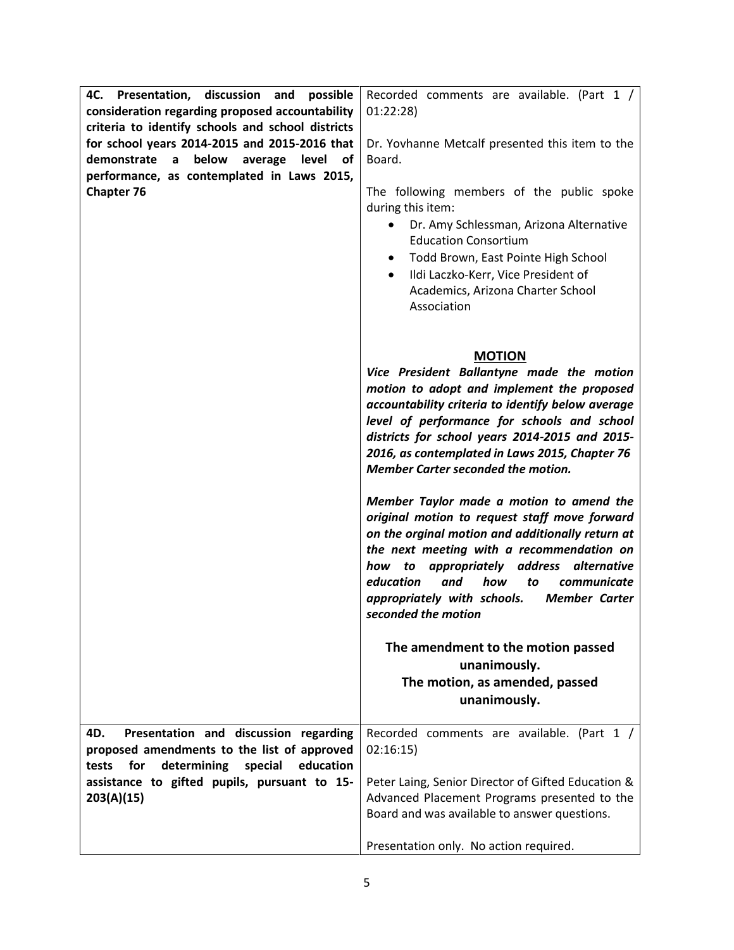| 4C. Presentation,<br>discussion<br>possible<br>and<br>consideration regarding proposed accountability                                                                | Recorded comments are available. (Part 1 /<br>01:22:28                                                                                                                                                                                                                                                                                                                     |
|----------------------------------------------------------------------------------------------------------------------------------------------------------------------|----------------------------------------------------------------------------------------------------------------------------------------------------------------------------------------------------------------------------------------------------------------------------------------------------------------------------------------------------------------------------|
| criteria to identify schools and school districts<br>for school years 2014-2015 and 2015-2016 that<br>demonstrate<br>below<br>$\mathsf{a}$<br>average<br>level<br>οf | Dr. Yovhanne Metcalf presented this item to the<br>Board.                                                                                                                                                                                                                                                                                                                  |
| performance, as contemplated in Laws 2015,<br><b>Chapter 76</b>                                                                                                      | The following members of the public spoke<br>during this item:<br>Dr. Amy Schlessman, Arizona Alternative<br><b>Education Consortium</b><br>Todd Brown, East Pointe High School<br>$\bullet$<br>Ildi Laczko-Kerr, Vice President of<br>$\bullet$<br>Academics, Arizona Charter School<br>Association                                                                       |
|                                                                                                                                                                      | <b>MOTION</b><br>Vice President Ballantyne made the motion<br>motion to adopt and implement the proposed<br>accountability criteria to identify below average<br>level of performance for schools and school<br>districts for school years 2014-2015 and 2015-<br>2016, as contemplated in Laws 2015, Chapter 76<br><b>Member Carter seconded the motion.</b>              |
|                                                                                                                                                                      | Member Taylor made a motion to amend the<br>original motion to request staff move forward<br>on the orginal motion and additionally return at<br>the next meeting with a recommendation on<br>appropriately address alternative<br>to<br>how<br>education<br>and<br>how<br>to<br>communicate<br>appropriately with schools.<br><b>Member Carter</b><br>seconded the motion |
|                                                                                                                                                                      | The amendment to the motion passed<br>unanimously.<br>The motion, as amended, passed<br>unanimously.                                                                                                                                                                                                                                                                       |
| Presentation and discussion regarding<br>4D.<br>proposed amendments to the list of approved<br>determining<br>special<br>tests<br>for<br>education                   | Recorded comments are available. (Part 1 /<br>02:16:15)                                                                                                                                                                                                                                                                                                                    |
| assistance to gifted pupils, pursuant to 15-<br>203(A)(15)                                                                                                           | Peter Laing, Senior Director of Gifted Education &<br>Advanced Placement Programs presented to the<br>Board and was available to answer questions.                                                                                                                                                                                                                         |
|                                                                                                                                                                      | Presentation only. No action required.                                                                                                                                                                                                                                                                                                                                     |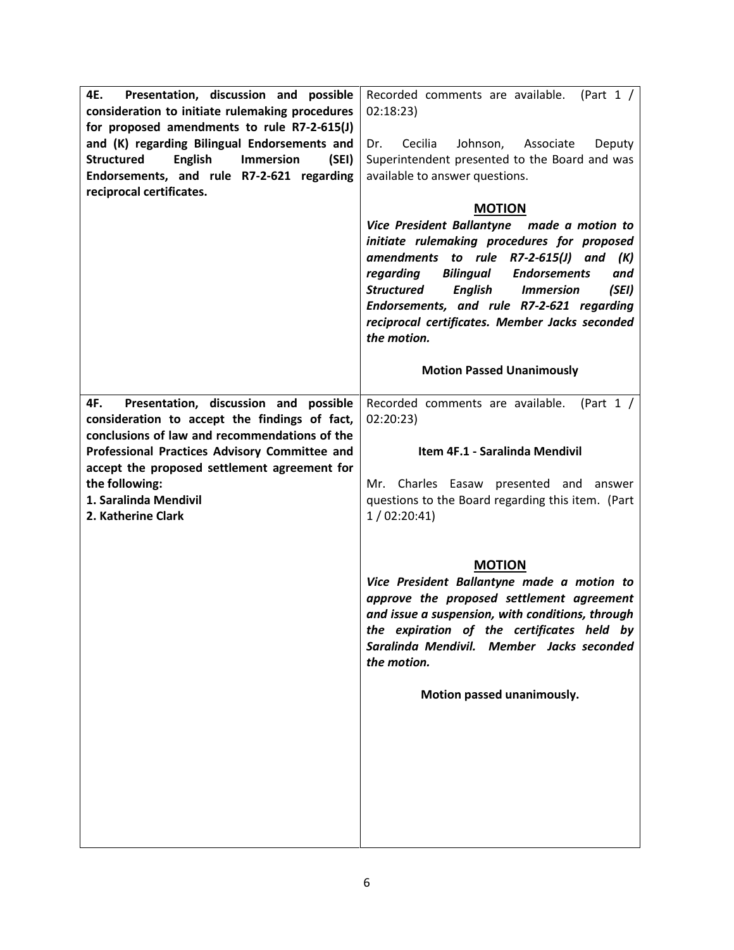| Superintendent presented to the Board and was<br>available to answer questions.<br><b>MOTION</b><br>Vice President Ballantyne made a motion to<br>initiate rulemaking procedures for proposed<br>amendments to rule R7-2-615(J) and<br>(K)<br>Bilingual<br>regarding<br><b>Endorsements</b><br>and<br><b>Structured</b><br>English<br><b>Immersion</b><br>(SEI)<br>Endorsements, and rule R7-2-621 regarding<br>reciprocal certificates. Member Jacks seconded<br>the motion. |
|-------------------------------------------------------------------------------------------------------------------------------------------------------------------------------------------------------------------------------------------------------------------------------------------------------------------------------------------------------------------------------------------------------------------------------------------------------------------------------|
| <b>Motion Passed Unanimously</b>                                                                                                                                                                                                                                                                                                                                                                                                                                              |
| Recorded comments are available.<br>(Part $1 /$<br>02:20:23)<br>Item 4F.1 - Saralinda Mendivil<br>Charles Easaw presented and<br>Mr. I<br>answer<br>questions to the Board regarding this item. (Part<br>1/02:20:41                                                                                                                                                                                                                                                           |
| <b>MOTION</b><br>Vice President Ballantyne made a motion to<br>approve the proposed settlement agreement<br>and issue a suspension, with conditions, through<br>the expiration of the certificates held by<br>Saralinda Mendivil. Member Jacks seconded<br>the motion.<br>Motion passed unanimously.                                                                                                                                                                          |
|                                                                                                                                                                                                                                                                                                                                                                                                                                                                               |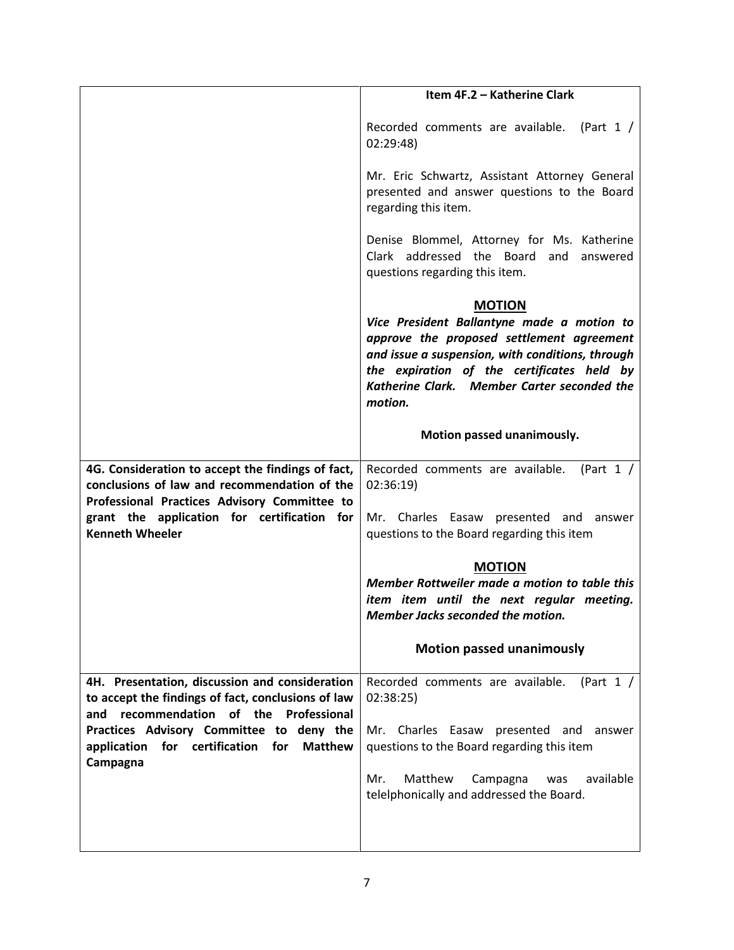|                                                                                                                                                   | Item 4F.2 - Katherine Clark                                                                                                                                                                                                                                          |
|---------------------------------------------------------------------------------------------------------------------------------------------------|----------------------------------------------------------------------------------------------------------------------------------------------------------------------------------------------------------------------------------------------------------------------|
|                                                                                                                                                   | Recorded comments are available. (Part 1 /<br>02:29:48                                                                                                                                                                                                               |
|                                                                                                                                                   | Mr. Eric Schwartz, Assistant Attorney General<br>presented and answer questions to the Board<br>regarding this item.                                                                                                                                                 |
|                                                                                                                                                   | Denise Blommel, Attorney for Ms. Katherine<br>Clark addressed the Board and answered<br>questions regarding this item.                                                                                                                                               |
|                                                                                                                                                   | <b>MOTION</b><br>Vice President Ballantyne made a motion to<br>approve the proposed settlement agreement<br>and issue a suspension, with conditions, through<br>the expiration of the certificates held by<br>Katherine Clark. Member Carter seconded the<br>motion. |
|                                                                                                                                                   | Motion passed unanimously.                                                                                                                                                                                                                                           |
| 4G. Consideration to accept the findings of fact,<br>conclusions of law and recommendation of the<br>Professional Practices Advisory Committee to | Recorded comments are available.<br>(Part $1 /$<br>02:36:19                                                                                                                                                                                                          |
| grant the application for certification for<br><b>Kenneth Wheeler</b>                                                                             | Mr. Charles Easaw presented and answer<br>questions to the Board regarding this item                                                                                                                                                                                 |
|                                                                                                                                                   | <b>MOTION</b><br>Member Rottweiler made a motion to table this<br>item item until the next regular meeting.<br>Member Jacks seconded the motion.                                                                                                                     |
|                                                                                                                                                   | <b>Motion passed unanimously</b>                                                                                                                                                                                                                                     |
| 4H. Presentation, discussion and consideration<br>to accept the findings of fact, conclusions of law<br>recommendation of the Professional<br>and | Recorded comments are available.<br>(Part $1 /$<br>02:38:25                                                                                                                                                                                                          |
| Practices Advisory Committee to deny the<br>for certification<br>for<br><b>Matthew</b><br>application<br>Campagna                                 | Mr. Charles Easaw presented and<br>answer<br>questions to the Board regarding this item                                                                                                                                                                              |
|                                                                                                                                                   | Matthew<br>available<br>Mr.<br>Campagna<br>was<br>telelphonically and addressed the Board.                                                                                                                                                                           |
|                                                                                                                                                   |                                                                                                                                                                                                                                                                      |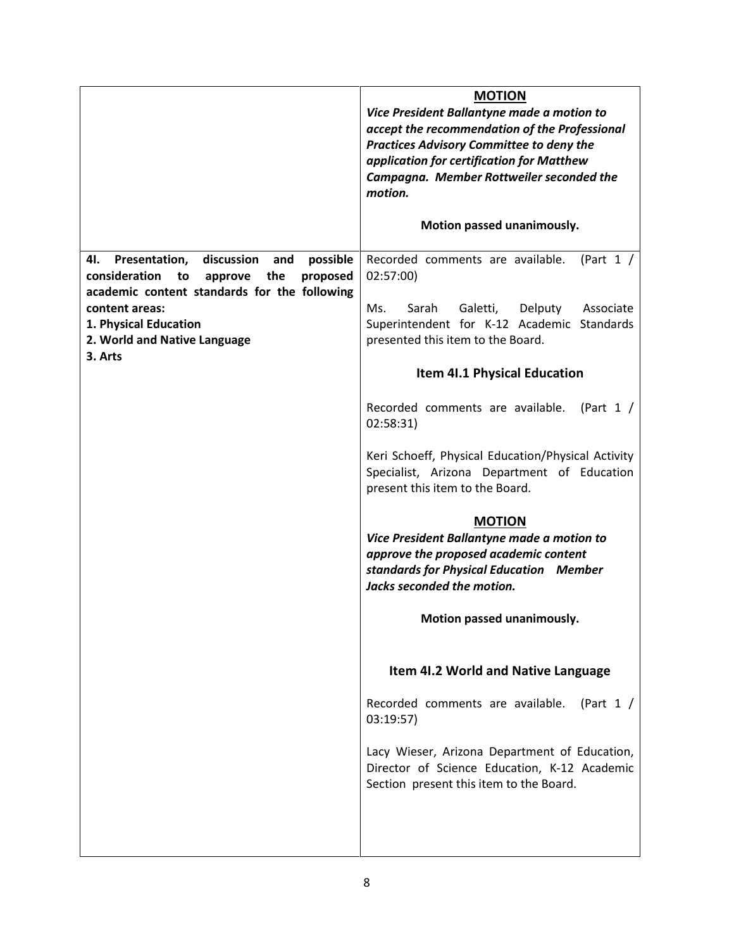|                                                                                                                                                                                                                                       | <b>MOTION</b><br>Vice President Ballantyne made a motion to<br>accept the recommendation of the Professional<br><b>Practices Advisory Committee to deny the</b><br>application for certification for Matthew<br>Campagna. Member Rottweiler seconded the<br>motion. |
|---------------------------------------------------------------------------------------------------------------------------------------------------------------------------------------------------------------------------------------|---------------------------------------------------------------------------------------------------------------------------------------------------------------------------------------------------------------------------------------------------------------------|
|                                                                                                                                                                                                                                       | Motion passed unanimously.                                                                                                                                                                                                                                          |
| discussion<br>possible<br>4I.<br>Presentation,<br>and<br>consideration<br>proposed<br>to<br>approve<br>the<br>academic content standards for the following<br>content areas:<br>1. Physical Education<br>2. World and Native Language | Recorded comments are available.<br>(Part $1 /$<br>02:57:00)<br>Galetti,<br>Delputy<br>Ms.<br>Sarah<br>Associate<br>Superintendent for K-12 Academic Standards<br>presented this item to the Board.                                                                 |
| 3. Arts                                                                                                                                                                                                                               | <b>Item 41.1 Physical Education</b>                                                                                                                                                                                                                                 |
|                                                                                                                                                                                                                                       | Recorded comments are available.<br>(Part 1 $/$<br>02:58:31)                                                                                                                                                                                                        |
|                                                                                                                                                                                                                                       | Keri Schoeff, Physical Education/Physical Activity<br>Specialist, Arizona Department of Education<br>present this item to the Board.                                                                                                                                |
|                                                                                                                                                                                                                                       | <b>MOTION</b><br>Vice President Ballantyne made a motion to<br>approve the proposed academic content<br>standards for Physical Education Member<br>Jacks seconded the motion.                                                                                       |
|                                                                                                                                                                                                                                       | Motion passed unanimously.                                                                                                                                                                                                                                          |
|                                                                                                                                                                                                                                       | <b>Item 41.2 World and Native Language</b>                                                                                                                                                                                                                          |
|                                                                                                                                                                                                                                       | Recorded comments are available.<br>(Part 1 $/$<br>03:19:57                                                                                                                                                                                                         |
|                                                                                                                                                                                                                                       | Lacy Wieser, Arizona Department of Education,<br>Director of Science Education, K-12 Academic<br>Section present this item to the Board.                                                                                                                            |
|                                                                                                                                                                                                                                       |                                                                                                                                                                                                                                                                     |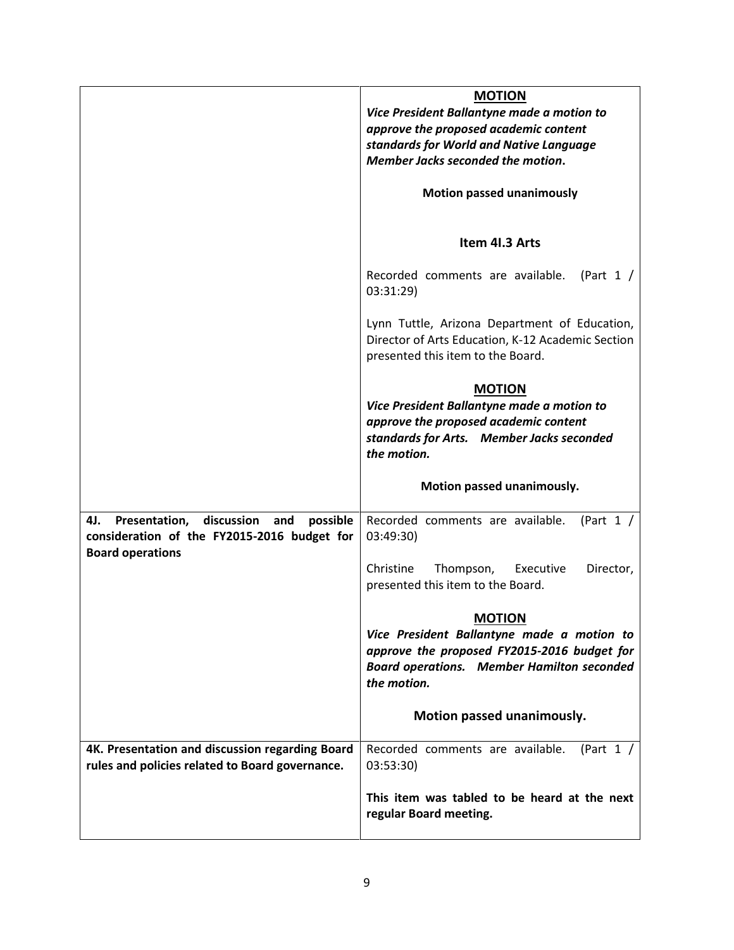|                                                                                                                                 | <b>MOTION</b><br>Vice President Ballantyne made a motion to<br>approve the proposed academic content<br>standards for World and Native Language<br>Member Jacks seconded the motion. |
|---------------------------------------------------------------------------------------------------------------------------------|--------------------------------------------------------------------------------------------------------------------------------------------------------------------------------------|
|                                                                                                                                 | <b>Motion passed unanimously</b>                                                                                                                                                     |
|                                                                                                                                 | Item 41.3 Arts                                                                                                                                                                       |
|                                                                                                                                 | Recorded comments are available.<br>(Part $1 /$<br>03:31:29)                                                                                                                         |
|                                                                                                                                 | Lynn Tuttle, Arizona Department of Education,<br>Director of Arts Education, K-12 Academic Section<br>presented this item to the Board.                                              |
|                                                                                                                                 | <b>MOTION</b><br>Vice President Ballantyne made a motion to<br>approve the proposed academic content<br>standards for Arts. Member Jacks seconded<br>the motion.                     |
|                                                                                                                                 | Motion passed unanimously.                                                                                                                                                           |
| discussion<br>Presentation,<br>and<br>possible<br>4J.<br>consideration of the FY2015-2016 budget for<br><b>Board operations</b> | Recorded comments are available.<br>(Part $1 /$<br>03:49:30)                                                                                                                         |
|                                                                                                                                 | Christine<br>Thompson,<br>Executive<br>Director,<br>presented this item to the Board.                                                                                                |
|                                                                                                                                 | <b>MOTION</b><br>Vice President Ballantyne made a motion to<br>approve the proposed FY2015-2016 budget for<br><b>Board operations. Member Hamilton seconded</b><br>the motion.       |
|                                                                                                                                 | Motion passed unanimously.                                                                                                                                                           |
| 4K. Presentation and discussion regarding Board<br>rules and policies related to Board governance.                              | Recorded comments are available.<br>(Part $1 /$<br>03:53:30)                                                                                                                         |
|                                                                                                                                 | This item was tabled to be heard at the next<br>regular Board meeting.                                                                                                               |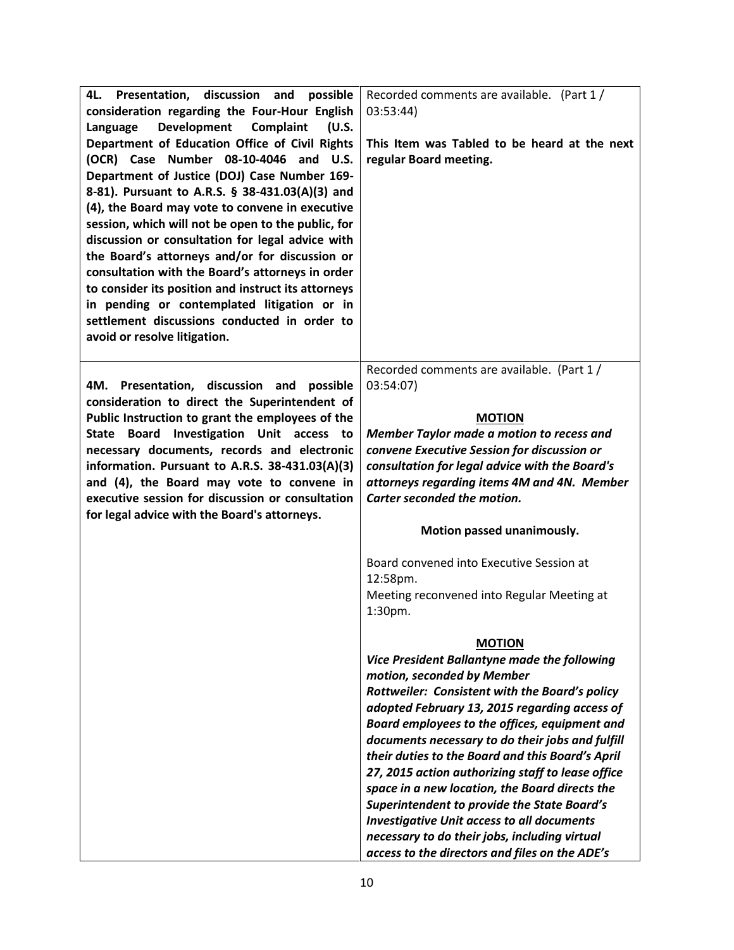| 4L.<br>Presentation, discussion and<br>possible<br>consideration regarding the Four-Hour English<br>Development<br>Complaint<br>(U.S.<br>Language<br>Department of Education Office of Civil Rights<br>(OCR) Case Number 08-10-4046 and U.S.<br>Department of Justice (DOJ) Case Number 169-<br>8-81). Pursuant to A.R.S. § 38-431.03(A)(3) and<br>(4), the Board may vote to convene in executive<br>session, which will not be open to the public, for<br>discussion or consultation for legal advice with<br>the Board's attorneys and/or for discussion or<br>consultation with the Board's attorneys in order<br>to consider its position and instruct its attorneys<br>in pending or contemplated litigation or in<br>settlement discussions conducted in order to<br>avoid or resolve litigation. | Recorded comments are available. (Part 1/<br>03:53:44)<br>This Item was Tabled to be heard at the next<br>regular Board meeting.                                                                                                                                                                                                                                                                                                                                                                                                                                                                                                                                                        |
|----------------------------------------------------------------------------------------------------------------------------------------------------------------------------------------------------------------------------------------------------------------------------------------------------------------------------------------------------------------------------------------------------------------------------------------------------------------------------------------------------------------------------------------------------------------------------------------------------------------------------------------------------------------------------------------------------------------------------------------------------------------------------------------------------------|-----------------------------------------------------------------------------------------------------------------------------------------------------------------------------------------------------------------------------------------------------------------------------------------------------------------------------------------------------------------------------------------------------------------------------------------------------------------------------------------------------------------------------------------------------------------------------------------------------------------------------------------------------------------------------------------|
| 4M. Presentation, discussion and<br>possible<br>consideration to direct the Superintendent of<br>Public Instruction to grant the employees of the<br>Investigation Unit access to<br><b>State</b><br>Board<br>necessary documents, records and electronic<br>information. Pursuant to A.R.S. 38-431.03(A)(3)<br>and (4), the Board may vote to convene in<br>executive session for discussion or consultation<br>for legal advice with the Board's attorneys.                                                                                                                                                                                                                                                                                                                                            | Recorded comments are available. (Part 1/<br>03:54:07)<br><b>MOTION</b><br>Member Taylor made a motion to recess and<br>convene Executive Session for discussion or<br>consultation for legal advice with the Board's<br>attorneys regarding items 4M and 4N. Member<br>Carter seconded the motion.<br>Motion passed unanimously.<br>Board convened into Executive Session at<br>12:58pm.<br>Meeting reconvened into Regular Meeting at                                                                                                                                                                                                                                                 |
|                                                                                                                                                                                                                                                                                                                                                                                                                                                                                                                                                                                                                                                                                                                                                                                                          | 1:30pm.<br><b>MOTION</b><br>Vice President Ballantyne made the following<br>motion, seconded by Member<br>Rottweiler: Consistent with the Board's policy<br>adopted February 13, 2015 regarding access of<br>Board employees to the offices, equipment and<br>documents necessary to do their jobs and fulfill<br>their duties to the Board and this Board's April<br>27, 2015 action authorizing staff to lease office<br>space in a new location, the Board directs the<br><b>Superintendent to provide the State Board's</b><br><b>Investigative Unit access to all documents</b><br>necessary to do their jobs, including virtual<br>access to the directors and files on the ADE's |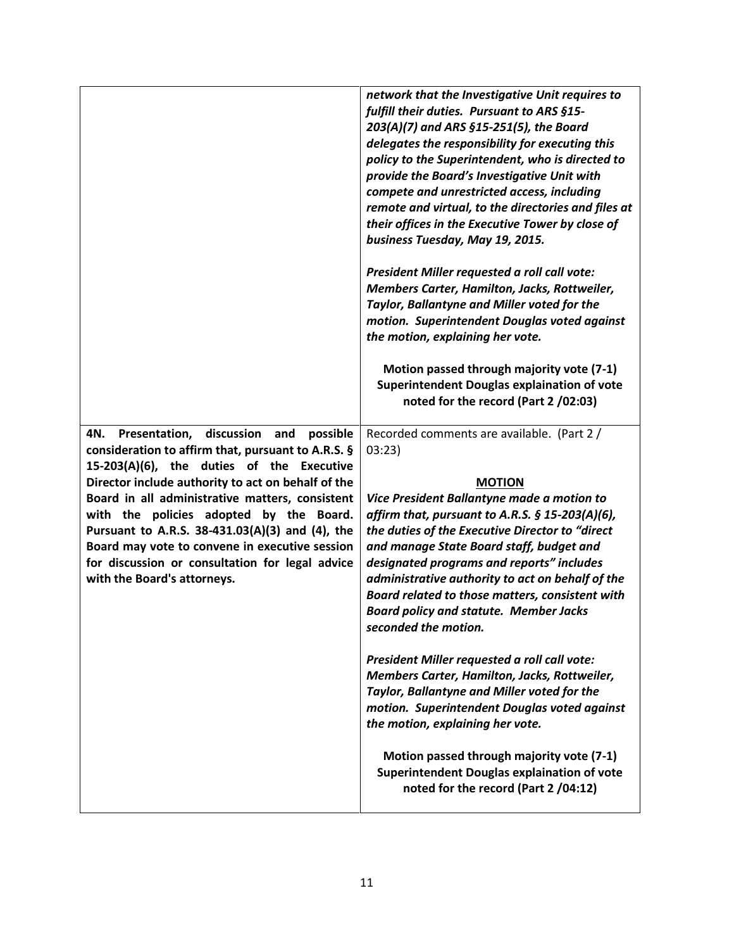|                                                                                                                                                                                                                                                                                                                                                                                                                                                                                                     | network that the Investigative Unit requires to<br>fulfill their duties. Pursuant to ARS §15-<br>203(A)(7) and ARS §15-251(5), the Board<br>delegates the responsibility for executing this<br>policy to the Superintendent, who is directed to<br>provide the Board's Investigative Unit with<br>compete and unrestricted access, including<br>remote and virtual, to the directories and files at<br>their offices in the Executive Tower by close of<br>business Tuesday, May 19, 2015.                                                                                                            |
|-----------------------------------------------------------------------------------------------------------------------------------------------------------------------------------------------------------------------------------------------------------------------------------------------------------------------------------------------------------------------------------------------------------------------------------------------------------------------------------------------------|-------------------------------------------------------------------------------------------------------------------------------------------------------------------------------------------------------------------------------------------------------------------------------------------------------------------------------------------------------------------------------------------------------------------------------------------------------------------------------------------------------------------------------------------------------------------------------------------------------|
|                                                                                                                                                                                                                                                                                                                                                                                                                                                                                                     | President Miller requested a roll call vote:<br>Members Carter, Hamilton, Jacks, Rottweiler,<br>Taylor, Ballantyne and Miller voted for the<br>motion. Superintendent Douglas voted against<br>the motion, explaining her vote.                                                                                                                                                                                                                                                                                                                                                                       |
|                                                                                                                                                                                                                                                                                                                                                                                                                                                                                                     | Motion passed through majority vote (7-1)<br>Superintendent Douglas explaination of vote<br>noted for the record (Part 2 /02:03)                                                                                                                                                                                                                                                                                                                                                                                                                                                                      |
| discussion<br>Presentation,<br>and<br>possible<br>4N.<br>consideration to affirm that, pursuant to A.R.S. §<br>15-203(A)(6), the duties of the Executive<br>Director include authority to act on behalf of the<br>Board in all administrative matters, consistent<br>with the policies adopted by the Board.<br>Pursuant to A.R.S. 38-431.03(A)(3) and (4), the<br>Board may vote to convene in executive session<br>for discussion or consultation for legal advice<br>with the Board's attorneys. | Recorded comments are available. (Part 2 /<br>03:23)<br><b>MOTION</b><br>Vice President Ballantyne made a motion to<br>affirm that, pursuant to A.R.S. $\S$ 15-203(A)(6),<br>the duties of the Executive Director to "direct<br>and manage State Board staff, budget and<br>designated programs and reports" includes<br>administrative authority to act on behalf of the<br>Board related to those matters, consistent with<br><b>Board policy and statute. Member Jacks</b><br>seconded the motion.<br>President Miller requested a roll call vote:<br>Members Carter, Hamilton, Jacks, Rottweiler, |
|                                                                                                                                                                                                                                                                                                                                                                                                                                                                                                     | Taylor, Ballantyne and Miller voted for the<br>motion. Superintendent Douglas voted against<br>the motion, explaining her vote.                                                                                                                                                                                                                                                                                                                                                                                                                                                                       |
|                                                                                                                                                                                                                                                                                                                                                                                                                                                                                                     | Motion passed through majority vote (7-1)<br>Superintendent Douglas explaination of vote<br>noted for the record (Part 2 /04:12)                                                                                                                                                                                                                                                                                                                                                                                                                                                                      |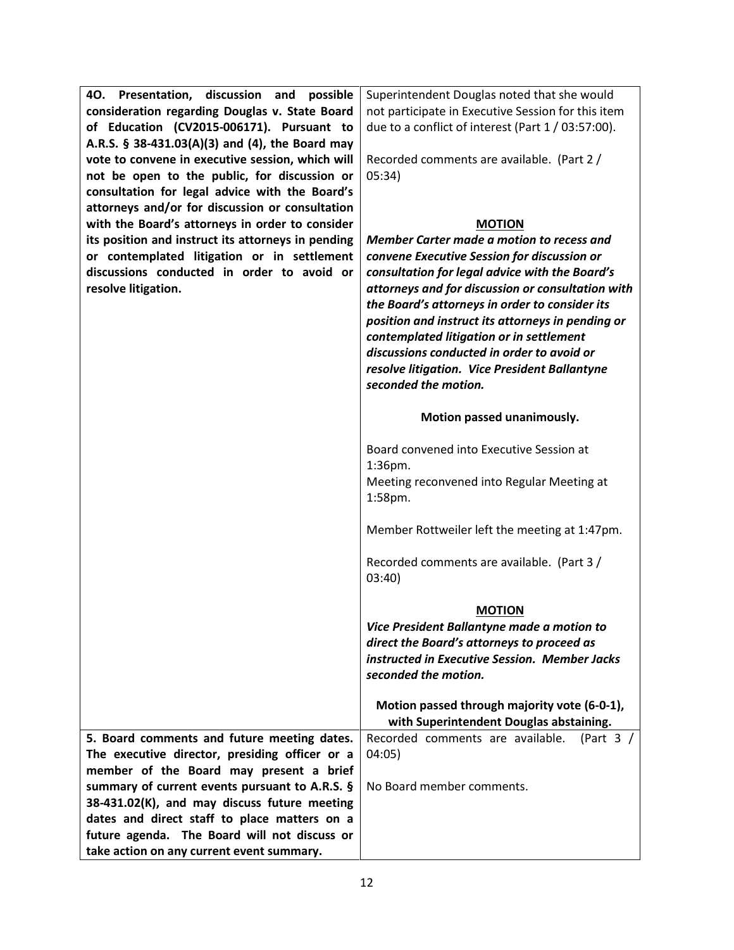| 40. Presentation, discussion and possible          | Superintendent Douglas noted that she would          |
|----------------------------------------------------|------------------------------------------------------|
| consideration regarding Douglas v. State Board     | not participate in Executive Session for this item   |
| of Education (CV2015-006171). Pursuant to          | due to a conflict of interest (Part 1 / 03:57:00).   |
| A.R.S. § 38-431.03(A)(3) and (4), the Board may    |                                                      |
| vote to convene in executive session, which will   | Recorded comments are available. (Part 2 /           |
| not be open to the public, for discussion or       | 05:34)                                               |
| consultation for legal advice with the Board's     |                                                      |
| attorneys and/or for discussion or consultation    |                                                      |
| with the Board's attorneys in order to consider    | <b>MOTION</b>                                        |
| its position and instruct its attorneys in pending | Member Carter made a motion to recess and            |
| or contemplated litigation or in settlement        | convene Executive Session for discussion or          |
| discussions conducted in order to avoid or         | consultation for legal advice with the Board's       |
| resolve litigation.                                | attorneys and for discussion or consultation with    |
|                                                    | the Board's attorneys in order to consider its       |
|                                                    | position and instruct its attorneys in pending or    |
|                                                    | contemplated litigation or in settlement             |
|                                                    | discussions conducted in order to avoid or           |
|                                                    | resolve litigation. Vice President Ballantyne        |
|                                                    | seconded the motion.                                 |
|                                                    |                                                      |
|                                                    | Motion passed unanimously.                           |
|                                                    | Board convened into Executive Session at             |
|                                                    | 1:36pm.                                              |
|                                                    | Meeting reconvened into Regular Meeting at           |
|                                                    | 1:58pm.                                              |
|                                                    |                                                      |
|                                                    | Member Rottweiler left the meeting at 1:47pm.        |
|                                                    | Recorded comments are available. (Part 3 /<br>03:40) |
|                                                    |                                                      |
|                                                    | <b>MOTION</b>                                        |
|                                                    | Vice President Ballantyne made a motion to           |
|                                                    | direct the Board's attorneys to proceed as           |
|                                                    | instructed in Executive Session. Member Jacks        |
|                                                    | seconded the motion.                                 |
|                                                    |                                                      |
|                                                    | Motion passed through majority vote (6-0-1),         |
|                                                    | with Superintendent Douglas abstaining.              |
| 5. Board comments and future meeting dates.        | Recorded comments are available.<br>(Part $3$ /      |
| The executive director, presiding officer or a     | 04:05)                                               |
| member of the Board may present a brief            |                                                      |
| summary of current events pursuant to A.R.S. §     | No Board member comments.                            |
| 38-431.02(K), and may discuss future meeting       |                                                      |
| dates and direct staff to place matters on a       |                                                      |
| future agenda. The Board will not discuss or       |                                                      |
| take action on any current event summary.          |                                                      |